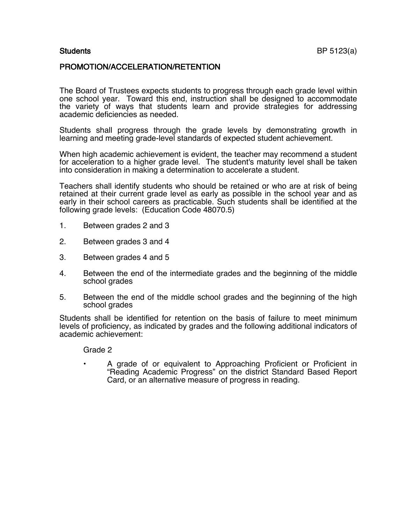### PROMOTION/ACCELERATION/RETENTION

The Board of Trustees expects students to progress through each grade level within one school year. Toward this end, instruction shall be designed to accommodate the variety of ways that students learn and provide strategies for addressing academic deficiencies as needed.

Students shall progress through the grade levels by demonstrating growth in learning and meeting grade-level standards of expected student achievement.

When high academic achievement is evident, the teacher may recommend a student for acceleration to a higher grade level. The student's maturity level shall be taken into consideration in making a determination to accelerate a student.

Teachers shall identify students who should be retained or who are at risk of being retained at their current grade level as early as possible in the school year and as early in their school careers as practicable. Such students shall be identified at the following grade levels: (Education Code 48070.5)

- 1. Between grades 2 and 3
- 2. Between grades 3 and 4
- 3. Between grades 4 and 5
- 4. Between the end of the intermediate grades and the beginning of the middle school grades
- 5. Between the end of the middle school grades and the beginning of the high school grades

Students shall be identified for retention on the basis of failure to meet minimum levels of proficiency, as indicated by grades and the following additional indicators of academic achievement:

Grade 2

• A grade of or equivalent to Approaching Proficient or Proficient in "Reading Academic Progress" on the district Standard Based Report Card, or an alternative measure of progress in reading.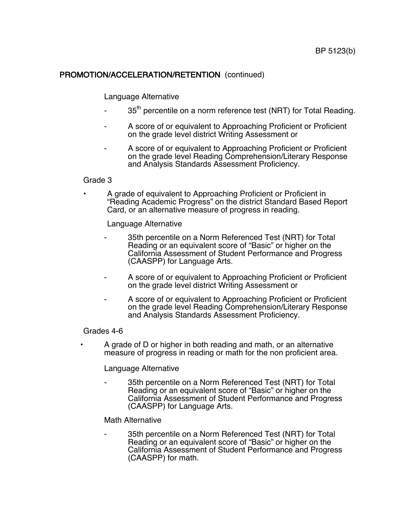# PROMOTION/ACCELERATION/RETENTION (continued)

## Language Alternative

- 35<sup>th</sup> percentile on a norm reference test (NRT) for Total Reading.
- A score of or equivalent to Approaching Proficient or Proficient on the grade level district Writing Assessment or
- A score of or equivalent to Approaching Proficient or Proficient on the grade level Reading Comprehension/Literary Response and Analysis Standards Assessment Proficiency.

#### Grade 3

• A grade of equivalent to Approaching Proficient or Proficient in "Reading Academic Progress" on the district Standard Based Report Card, or an alternative measure of progress in reading.

Language Alternative

- 35th percentile on a Norm Referenced Test (NRT) for Total Reading or an equivalent score of "Basic" or higher on the California Assessment of Student Performance and Progress (CAASPP) for Language Arts.
- A score of or equivalent to Approaching Proficient or Proficient on the grade level district Writing Assessment or
- A score of or equivalent to Approaching Proficient or Proficient on the grade level Reading Comprehension/Literary Response and Analysis Standards Assessment Proficiency.

#### Grades 4-6

• A grade of D or higher in both reading and math, or an alternative measure of progress in reading or math for the non proficient area.

### Language Alternative

35th percentile on a Norm Referenced Test (NRT) for Total Reading or an equivalent score of "Basic" or higher on the California Assessment of Student Performance and Progress (CAASPP) for Language Arts.

### Math Alternative

35th percentile on a Norm Referenced Test (NRT) for Total Reading or an equivalent score of "Basic" or higher on the California Assessment of Student Performance and Progress (CAASPP) for math.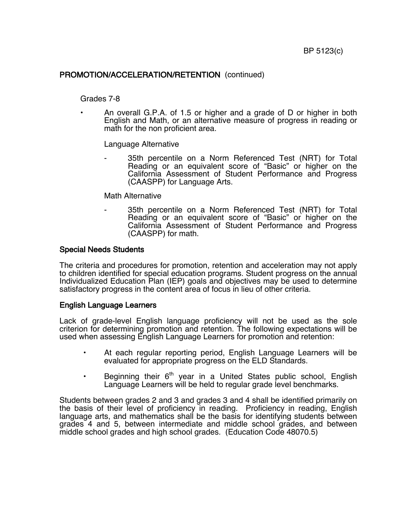## PROMOTION/ACCELERATION/RETENTION (continued)

#### Grades 7-8

• An overall G.P.A. of 1.5 or higher and a grade of D or higher in both English and Math, or an alternative measure of progress in reading or math for the non proficient area.

Language Alternative

35th percentile on a Norm Referenced Test (NRT) for Total Reading or an equivalent score of "Basic" or higher on the California Assessment of Student Performance and Progress (CAASPP) for Language Arts.

#### Math Alternative

35th percentile on a Norm Referenced Test (NRT) for Total Reading or an equivalent score of "Basic" or higher on the California Assessment of Student Performance and Progress (CAASPP) for math.

#### Special Needs Students

The criteria and procedures for promotion, retention and acceleration may not apply to children identified for special education programs. Student progress on the annual Individualized Education Plan (IEP) goals and objectives may be used to determine satisfactory progress in the content area of focus in lieu of other criteria.

### English Language Learners

Lack of grade-level English language proficiency will not be used as the sole criterion for determining promotion and retention. The following expectations will be used when assessing English Language Learners for promotion and retention:

- At each regular reporting period, English Language Learners will be evaluated for appropriate progress on the ELD Standards.
- Beginning their  $6<sup>th</sup>$  year in a United States public school, English Language Learners will be held to regular grade level benchmarks.

Students between grades 2 and 3 and grades 3 and 4 shall be identified primarily on the basis of their level of proficiency in reading. Proficiency in reading, English language arts, and mathematics shall be the basis for identifying students between grades 4 and 5, between intermediate and middle school grades, and between middle school grades and high school grades. (Education Code 48070.5)